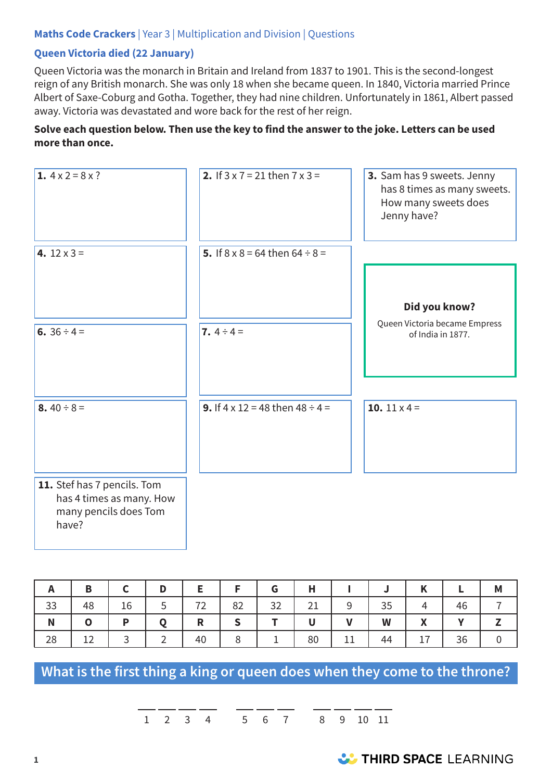## **Maths Code Crackers** | Year 3 | Multiplication and Division | Questions

## **Queen Victoria died (22 January)**

Queen Victoria was the monarch in Britain and Ireland from 1837 to 1901. This is the second-longest reign of any British monarch. She was only 18 when she became queen. In 1840, Victoria married Prince Albert of Saxe-Coburg and Gotha. Together, they had nine children. Unfortunately in 1861, Albert passed away. Victoria was devastated and wore back for the rest of her reign.

#### **Solve each question below. Then use the key to find the answer to the joke. Letters can be used more than once.**

| 1. $4 \times 2 = 8 \times ?$                                                              | 2. If $3 \times 7 = 21$ then $7 \times 3 =$ | 3. Sam has 9 sweets. Jenny<br>has 8 times as many sweets.<br>How many sweets does<br>Jenny have? |
|-------------------------------------------------------------------------------------------|---------------------------------------------|--------------------------------------------------------------------------------------------------|
| 4. $12 \times 3 =$                                                                        | 5. If $8 \times 8 = 64$ then $64 \div 8 =$  | Did you know?                                                                                    |
| 6. $36 \div 4 =$                                                                          | 7. $4 \div 4 =$                             | Queen Victoria became Empress<br>of India in 1877.                                               |
| 8.40 ÷ 8 =                                                                                | 9. If $4 \times 12 = 48$ then $48 \div 4 =$ | 10. $11 \times 4 =$                                                                              |
| 11. Stef has 7 pencils. Tom<br>has 4 times as many. How<br>many pencils does Tom<br>have? |                                             |                                                                                                  |

|    | в  |    |   |    |    | G  |                 |                 |    | v<br>r                                   |    | M |
|----|----|----|---|----|----|----|-----------------|-----------------|----|------------------------------------------|----|---|
| 33 | 48 | 16 | ∽ | 72 | 82 | 32 | $\mathcal{D}$ 1 | a               | 35 |                                          | 46 |   |
| N  | O  | D  |   | R  |    |    |                 |                 | W  | $\mathbf v$<br>$\boldsymbol{\mathsf{r}}$ | v  |   |
| 28 | 12 |    |   | 40 | 8  | ᅩ  | 80              | 11<br><b>++</b> | 44 | 17                                       | 36 | 0 |

**What is the first thing a king or queen does when they come to the throne?**

1 2 3 4 5 6 7 8 9 10 11